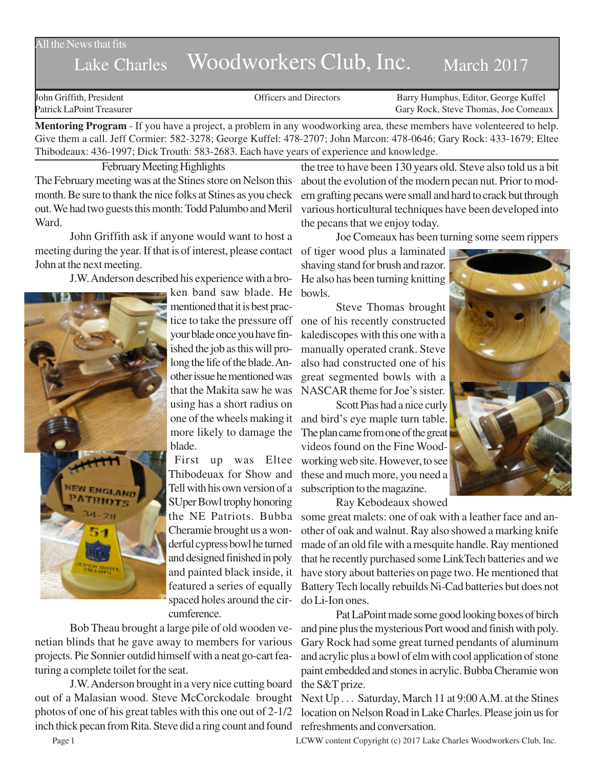#### All the News that fits

# Lake Charles Woodworkers Club, Inc. March 2017

John Griffith, President Officers and Directors Barry Humphus, Editor, George Kuffel Patrick LaPoint Treasurer Gary Rock, Steve Thomas, Joe Comeaux

**Mentoring Program** - If you have a project, a problem in any woodworking area, these members have volenteered to help. Give them a call. Jeff Cormier: 582-3278; George Kuffel: 478-2707; John Marcon: 478-0646; Gary Rock: 433-1679; Eltee Thibodeaux: 436-1997; Dick Trouth: 583-2683. Each have years of experience and knowledge.

February Meeting Highlights The February meeting was at the Stines store on Nelson this

month. Be sure to thank the nice folks at Stines as you check out. We had two guests this month: Todd Palumbo and Meril Ward.

John Griffith ask if anyone would want to host a meeting during the year. If that is of interest, please contact John at the next meeting.

J.W. Anderson described his experience with a bro-



ken band saw blade. He mentioned that it is best pracyour blade once you have finished the job as this will prolong the life of the blade. Another issue he mentioned was that the Makita saw he was using has a short radius on one of the wheels making it more likely to damage the blade.

First up was Eltee Thibodeuax for Show and Tell with his own version of a SUper Bowl trophy honoring the NE Patriots. Bubba Cheramie brought us a wonderful cypress bowl he turned and designed finished in poly and painted black inside, it featured a series of equally spaced holes around the circumference.

Bob Theau brought a large pile of old wooden venetian blinds that he gave away to members for various projects. Pie Sonnier outdid himself with a neat go-cart featuring a complete toilet for the seat.

J.W. Anderson brought in a very nice cutting board out of a Malasian wood. Steve McCorckodale brought photos of one of his great tables with this one out of 2-1/2 inch thick pecan from Rita. Steve did a ring count and found refreshments and conversation.

the tree to have been 130 years old. Steve also told us a bit about the evolution of the modern pecan nut. Prior to modern grafting pecans were small and hard to crack but through various horticultural techniques have been developed into the pecans that we enjoy today.

Joe Comeaux has been turning some seem rippers

of tiger wood plus a laminated shaving stand for brush and razor. He also has been turning knitting bowls.

tice to take the pressure off one of his recently constructed Steve Thomas brought kalediscopes with this one with a manually operated crank. Steve also had constructed one of his great segmented bowls with a NASCAR theme for Joe's sister.

Scott Pias had a nice curly and bird's eye maple turn table. The plan came from one of the great videos found on the Fine Woodworking web site. However, to see these and much more, you need a subscription to the magazine.

Ray Kebodeaux showed

some great malets: one of oak with a leather face and another of oak and walnut. Ray also showed a marking knife made of an old file with a mesquite handle. Ray mentioned that he recently purchased some LinkTech batteries and we have story about batteries on page two. He mentioned that Battery Tech locally rebuilds Ni-Cad batteries but does not do Li-Ion ones.

Pat LaPoint made some good looking boxes of birch and pine plus the mysterious Port wood and finish with poly. Gary Rock had some great turned pendants of aluminum and acrylic plus a bowl of elm with cool application of stone paint embedded and stones in acrylic. Bubba Cheramie won the S&T prize.

Next Up . . . Saturday, March 11 at 9:00 A.M. at the Stines location on Nelson Road in Lake Charles. Please join us for

Page 1 LCWW content Copyright (c) 2017 Lake Charles Woodworkers Club, Inc.

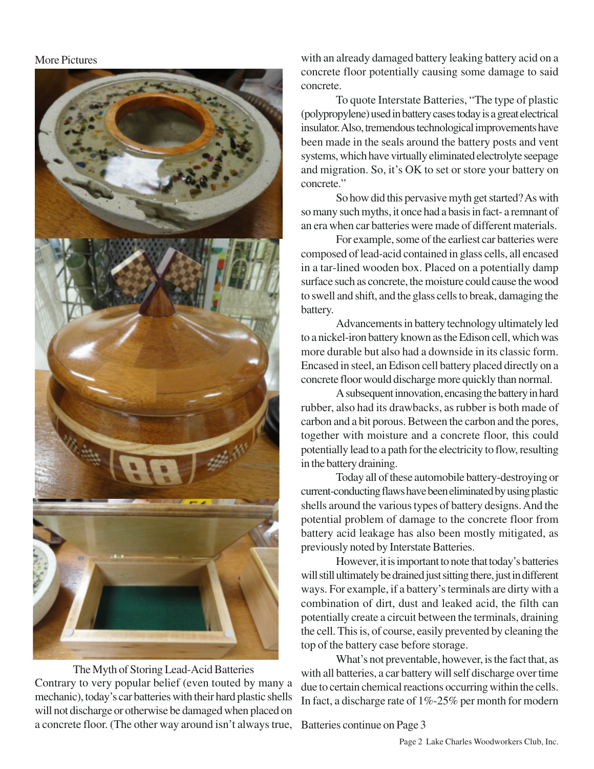## More Pictures



The Myth of Storing Lead-Acid Batteries Contrary to very popular belief (even touted by many a mechanic), today's car batteries with their hard plastic shells will not discharge or otherwise be damaged when placed on a concrete floor. (The other way around isn't always true,

with an already damaged battery leaking battery acid on a concrete floor potentially causing some damage to said concrete.

To quote Interstate Batteries, "The type of plastic (polypropylene) used in battery cases today is a great electrical insulator. Also, tremendous technological improvements have been made in the seals around the battery posts and vent systems, which have virtually eliminated electrolyte seepage and migration. So, it's OK to set or store your battery on concrete."

So how did this pervasive myth get started? As with so many such myths, it once had a basis in fact- a remnant of an era when car batteries were made of different materials.

For example, some of the earliest car batteries were composed of lead-acid contained in glass cells, all encased in a tar-lined wooden box. Placed on a potentially damp surface such as concrete, the moisture could cause the wood to swell and shift, and the glass cells to break, damaging the battery.

Advancements in battery technology ultimately led to a nickel-iron battery known as the Edison cell, which was more durable but also had a downside in its classic form. Encased in steel, an Edison cell battery placed directly on a concrete floor would discharge more quickly than normal.

A subsequent innovation, encasing the battery in hard rubber, also had its drawbacks, as rubber is both made of carbon and a bit porous. Between the carbon and the pores, together with moisture and a concrete floor, this could potentially lead to a path for the electricity to flow, resulting in the battery draining.

Today all of these automobile battery-destroying or current-conducting flaws have been eliminated by using plastic shells around the various types of battery designs. And the potential problem of damage to the concrete floor from battery acid leakage has also been mostly mitigated, as previously noted by Interstate Batteries.

However, it is important to note that today's batteries will still ultimately be drained just sitting there, just in different ways. For example, if a battery's terminals are dirty with a combination of dirt, dust and leaked acid, the filth can potentially create a circuit between the terminals, draining the cell. This is, of course, easily prevented by cleaning the top of the battery case before storage.

What's not preventable, however, is the fact that, as with all batteries, a car battery will self discharge over time due to certain chemical reactions occurring within the cells. In fact, a discharge rate of 1%-25% per month for modern

Batteries continue on Page 3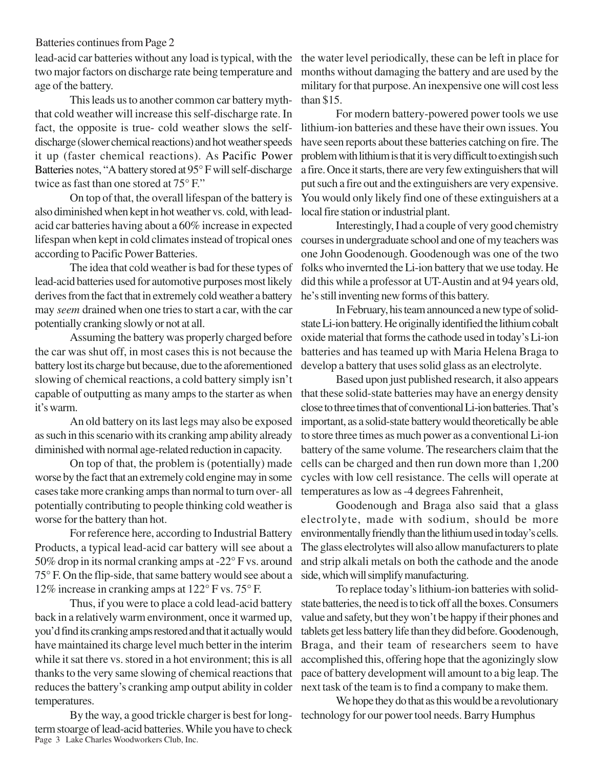### Batteries continues from Page 2

two major factors on discharge rate being temperature and age of the battery.

This leads us to another common car battery myththat cold weather will increase this self-discharge rate. In fact, the opposite is true- cold weather slows the selfdischarge (slower chemical reactions) and hot weather speeds it up (faster chemical reactions). As Pacific Power Batteries notes, "A battery stored at 95° F will self-discharge twice as fast than one stored at 75° F."

On top of that, the overall lifespan of the battery is also diminished when kept in hot weather vs. cold, with leadacid car batteries having about a 60% increase in expected lifespan when kept in cold climates instead of tropical ones courses in undergraduate school and one of my teachers was according to Pacific Power Batteries.

The idea that cold weather is bad for these types of lead-acid batteries used for automotive purposes most likely derives from the fact that in extremely cold weather a battery may *seem* drained when one tries to start a car, with the car potentially cranking slowly or not at all.

Assuming the battery was properly charged before the car was shut off, in most cases this is not because the battery lost its charge but because, due to the aforementioned slowing of chemical reactions, a cold battery simply isn't capable of outputting as many amps to the starter as when that these solid-state batteries may have an energy density it's warm.

An old battery on its last legs may also be exposed as such in this scenario with its cranking amp ability already diminished with normal age-related reduction in capacity.

On top of that, the problem is (potentially) made worse by the fact that an extremely cold engine may in some cases take more cranking amps than normal to turn over- all potentially contributing to people thinking cold weather is worse for the battery than hot.

For reference here, according to Industrial Battery Products, a typical lead-acid car battery will see about a 50% drop in its normal cranking amps at -22° F vs. around 75° F. On the flip-side, that same battery would see about a 12% increase in cranking amps at 122° F vs. 75° F.

Thus, if you were to place a cold lead-acid battery back in a relatively warm environment, once it warmed up, you'd find its cranking amps restored and that it actually would have maintained its charge level much better in the interim while it sat there vs. stored in a hot environment; this is all thanks to the very same slowing of chemical reactions that reduces the battery's cranking amp output ability in colder temperatures.

Page 3 Lake Charles Woodworkers Club, Inc. By the way, a good trickle charger is best for longterm stoarge of lead-acid batteries. While you have to check

lead-acid car batteries without any load is typical, with the the water level periodically, these can be left in place for months without damaging the battery and are used by the military for that purpose. An inexpensive one will cost less than \$15.

> For modern battery-powered power tools we use lithium-ion batteries and these have their own issues. You have seen reports about these batteries catching on fire. The problem with lithium is that it is very difficult to extingish such a fire. Once it starts, there are very few extinguishers that will put such a fire out and the extinguishers are very expensive. You would only likely find one of these extinguishers at a local fire station or industrial plant.

> Interestingly, I had a couple of very good chemistry one John Goodenough. Goodenough was one of the two folks who invernted the Li-ion battery that we use today. He did this while a professor at UT-Austin and at 94 years old, he's still inventing new forms of this battery.

> In February, his team announced a new type of solidstate Li-ion battery. He originally identified the lithium cobalt oxide material that forms the cathode used in today's Li-ion batteries and has teamed up with Maria Helena Braga to develop a battery that uses solid glass as an electrolyte.

> Based upon just published research, it also appears close to three times that of conventional Li-ion batteries. That's important, as a solid-state battery would theoretically be able to store three times as much power as a conventional Li-ion battery of the same volume. The researchers claim that the cells can be charged and then run down more than 1,200 cycles with low cell resistance. The cells will operate at temperatures as low as -4 degrees Fahrenheit,

> Goodenough and Braga also said that a glass electrolyte, made with sodium, should be more environmentally friendly than the lithium used in today's cells. The glass electrolytes will also allow manufacturers to plate and strip alkali metals on both the cathode and the anode side, which will simplify manufacturing.

> To replace today's lithium-ion batteries with solidstate batteries, the need is to tick off all the boxes. Consumers value and safety, but they won't be happy if their phones and tablets get less battery life than they did before. Goodenough, Braga, and their team of researchers seem to have accomplished this, offering hope that the agonizingly slow pace of battery development will amount to a big leap. The next task of the team is to find a company to make them.

> We hope they do that as this would be a revolutionary technology for our power tool needs. Barry Humphus